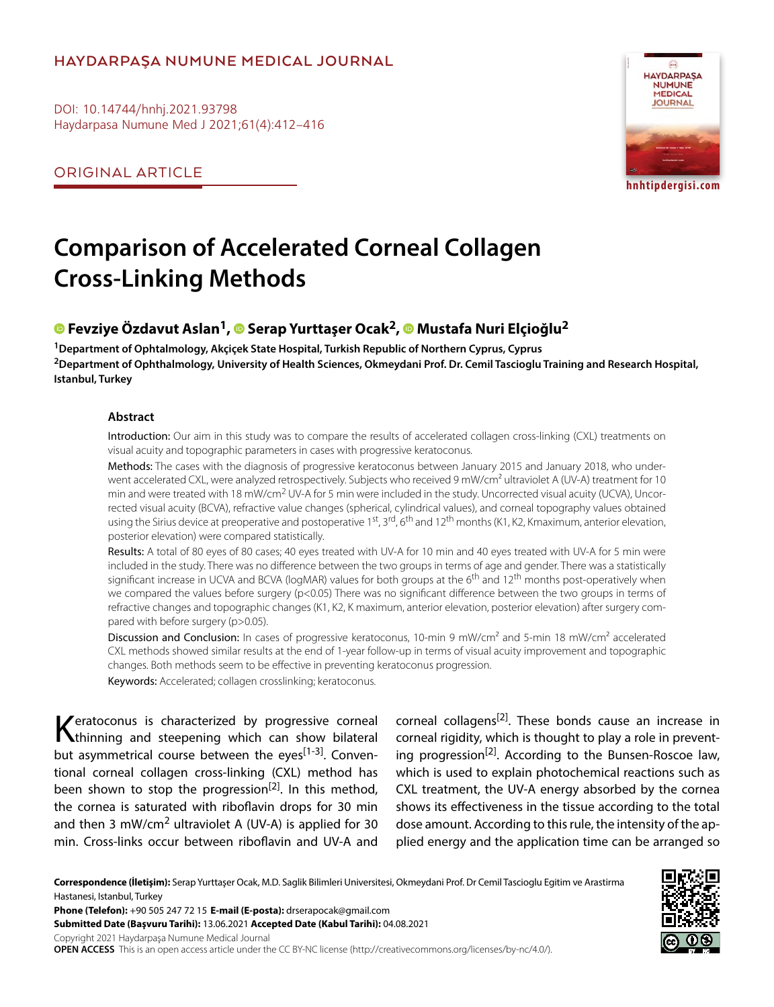## **HAYDARPAŞA NUMUNE MEDICAL JOURNAL**

DOI: 10.14744/hnhj.2021.93798 Haydarpasa Numune Med J 2021;61(4):412–416

ORIGINAL ARTICLE



**hnhtipdergisi.com**

# **Comparison of Accelerated Corneal Collagen Cross-Linking Methods**

## **Fevziye Özdavut Aslan1,Serap Yurttaşer Ocak2,Mustafa Nuri Elçioğlu2**

**1Department of Ophtalmology, Akçiçek State Hospital, Turkish Republic of Northern Cyprus, Cyprus 2Department of Ophthalmology, University of Health Sciences, Okmeydani Prof. Dr. Cemil Tascioglu Training and Research Hospital, Istanbul, Turkey**

#### **Abstract**

Introduction: Our aim in this study was to compare the results of accelerated collagen cross-linking (CXL) treatments on visual acuity and topographic parameters in cases with progressive keratoconus.

Methods: The cases with the diagnosis of progressive keratoconus between January 2015 and January 2018, who underwent accelerated CXL, were analyzed retrospectively. Subjects who received 9 mW/cm<sup>2</sup> ultraviolet A (UV-A) treatment for 10 min and were treated with 18 mW/cm<sup>2</sup> UV-A for 5 min were included in the study. Uncorrected visual acuity (UCVA), Uncorrected visual acuity (BCVA), refractive value changes (spherical, cylindrical values), and corneal topography values obtained using the Sirius device at preoperative and postoperative 1<sup>st</sup>, 3<sup>rd</sup>, 6<sup>th</sup> and 12<sup>th</sup> months (K1, K2, Kmaximum, anterior elevation, posterior elevation) were compared statistically.

Results: A total of 80 eyes of 80 cases; 40 eyes treated with UV-A for 10 min and 40 eyes treated with UV-A for 5 min were included in the study. There was no difference between the two groups in terms of age and gender. There was a statistically significant increase in UCVA and BCVA (logMAR) values for both groups at the 6<sup>th</sup> and 12<sup>th</sup> months post-operatively when we compared the values before surgery (p<0.05) There was no significant difference between the two groups in terms of refractive changes and topographic changes (K1, K2, K maximum, anterior elevation, posterior elevation) after surgery compared with before surgery (p>0.05).

Discussion and Conclusion: In cases of progressive keratoconus, 10-min 9 mW/cm<sup>2</sup> and 5-min 18 mW/cm<sup>2</sup> accelerated CXL methods showed similar results at the end of 1-year follow-up in terms of visual acuity improvement and topographic changes. Both methods seem to be effective in preventing keratoconus progression.

Keywords: Accelerated; collagen crosslinking; keratoconus.

Keratoconus is characterized by progressive corneal<br>
thinning and steepening which can show bilateral but asymmetrical course between the eyes<sup>[1-3]</sup>. Conventional corneal collagen cross-linking (CXL) method has been shown to stop the progression<sup>[2]</sup>. In this method, the cornea is saturated with riboflavin drops for 30 min and then 3 mW/cm<sup>2</sup> ultraviolet A (UV-A) is applied for 30 min. Cross-links occur between riboflavin and UV-A and

corneal collagens<sup>[2]</sup>. These bonds cause an increase in corneal rigidity, which is thought to play a role in preventing progression<sup>[2]</sup>. According to the Bunsen-Roscoe law, which is used to explain photochemical reactions such as CXL treatment, the UV-A energy absorbed by the cornea shows its effectiveness in the tissue according to the total dose amount. According to this rule, the intensity of the applied energy and the application time can be arranged so

**Correspondence (İletişim):** Serap Yurttaşer Ocak, M.D. Saglik Bilimleri Universitesi, Okmeydani Prof. Dr Cemil Tascioglu Egitim ve Arastirma Hastanesi, Istanbul, Turkey



**Submitted Date (Başvuru Tarihi):** 13.06.2021 **Accepted Date (Kabul Tarihi):** 04.08.2021

Copyright 2021 Haydarpaşa Numune Medical Journal

**OPEN ACCESS** This is an open access article under the CC BY-NC license (http://creativecommons.org/licenses/by-nc/4.0/).

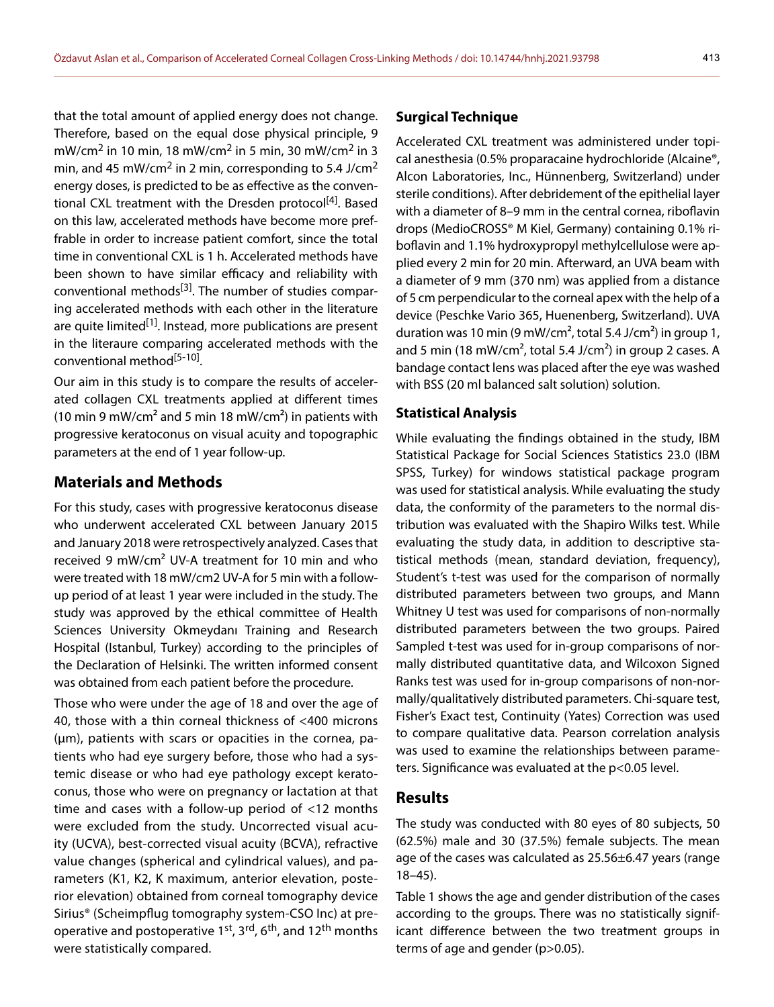that the total amount of applied energy does not change. Therefore, based on the equal dose physical principle, 9 mW/cm<sup>2</sup> in 10 min, 18 mW/cm<sup>2</sup> in 5 min, 30 mW/cm<sup>2</sup> in 3 min, and 45 mW/cm<sup>2</sup> in 2 min, corresponding to 5.4 J/cm<sup>2</sup> energy doses, is predicted to be as effective as the conventional CXL treatment with the Dresden protocol<sup>[4]</sup>. Based on this law, accelerated methods have become more preffrable in order to increase patient comfort, since the total time in conventional CXL is 1 h. Accelerated methods have

been shown to have similar efficacy and reliability with conventional methods<sup>[3]</sup>. The number of studies comparing accelerated methods with each other in the literature are quite limited<sup>[1]</sup>. Instead, more publications are present in the literaure comparing accelerated methods with the conventional method<sup>[5-10]</sup>.

Our aim in this study is to compare the results of accelerated collagen CXL treatments applied at different times (10 min 9 mW/cm<sup>2</sup> and 5 min 18 mW/cm<sup>2</sup>) in patients with progressive keratoconus on visual acuity and topographic parameters at the end of 1 year follow-up.

## **Materials and Methods**

For this study, cases with progressive keratoconus disease who underwent accelerated CXL between January 2015 and January 2018 were retrospectively analyzed. Cases that received 9 mW/cm² UV-A treatment for 10 min and who were treated with 18 mW/cm2 UV-A for 5 min with a followup period of at least 1 year were included in the study. The study was approved by the ethical committee of Health Sciences University Okmeydanı Training and Research Hospital (Istanbul, Turkey) according to the principles of the Declaration of Helsinki. The written informed consent was obtained from each patient before the procedure.

Those who were under the age of 18 and over the age of 40, those with a thin corneal thickness of <400 microns (µm), patients with scars or opacities in the cornea, patients who had eye surgery before, those who had a systemic disease or who had eye pathology except keratoconus, those who were on pregnancy or lactation at that time and cases with a follow-up period of <12 months were excluded from the study. Uncorrected visual acuity (UCVA), best-corrected visual acuity (BCVA), refractive value changes (spherical and cylindrical values), and parameters (K1, K2, K maximum, anterior elevation, posterior elevation) obtained from corneal tomography device Sirius® (Scheimpflug tomography system-CSO Inc) at preoperative and postoperative 1<sup>st</sup>, 3<sup>rd</sup>, 6<sup>th</sup>, and 12<sup>th</sup> months were statistically compared.

### **Surgical Technique**

Accelerated CXL treatment was administered under topical anesthesia (0.5% proparacaine hydrochloride (Alcaine®, Alcon Laboratories, Inc., Hünnenberg, Switzerland) under sterile conditions). After debridement of the epithelial layer with a diameter of 8–9 mm in the central cornea, riboflavin drops (MedioCROSS® M Kiel, Germany) containing 0.1% riboflavin and 1.1% hydroxypropyl methylcellulose were applied every 2 min for 20 min. Afterward, an UVA beam with a diameter of 9 mm (370 nm) was applied from a distance of 5 cm perpendicular to the corneal apex with the help of a device (Peschke Vario 365, Huenenberg, Switzerland). UVA duration was 10 min (9 mW/cm<sup>2</sup>, total 5.4 J/cm<sup>2</sup>) in group 1, and 5 min (18 mW/cm<sup>2</sup>, total 5.4 J/cm<sup>2</sup>) in group 2 cases. A bandage contact lens was placed after the eye was washed with BSS (20 ml balanced salt solution) solution.

### **Statistical Analysis**

While evaluating the findings obtained in the study, IBM Statistical Package for Social Sciences Statistics 23.0 (IBM SPSS, Turkey) for windows statistical package program was used for statistical analysis. While evaluating the study data, the conformity of the parameters to the normal distribution was evaluated with the Shapiro Wilks test. While evaluating the study data, in addition to descriptive statistical methods (mean, standard deviation, frequency), Student's t-test was used for the comparison of normally distributed parameters between two groups, and Mann Whitney U test was used for comparisons of non-normally distributed parameters between the two groups. Paired Sampled t-test was used for in-group comparisons of normally distributed quantitative data, and Wilcoxon Signed Ranks test was used for in-group comparisons of non-normally/qualitatively distributed parameters. Chi-square test, Fisher's Exact test, Continuity (Yates) Correction was used to compare qualitative data. Pearson correlation analysis was used to examine the relationships between parameters. Significance was evaluated at the p<0.05 level.

### **Results**

The study was conducted with 80 eyes of 80 subjects, 50 (62.5%) male and 30 (37.5%) female subjects. The mean age of the cases was calculated as 25.56±6.47 years (range 18–45).

Table 1 shows the age and gender distribution of the cases according to the groups. There was no statistically significant difference between the two treatment groups in terms of age and gender (p>0.05).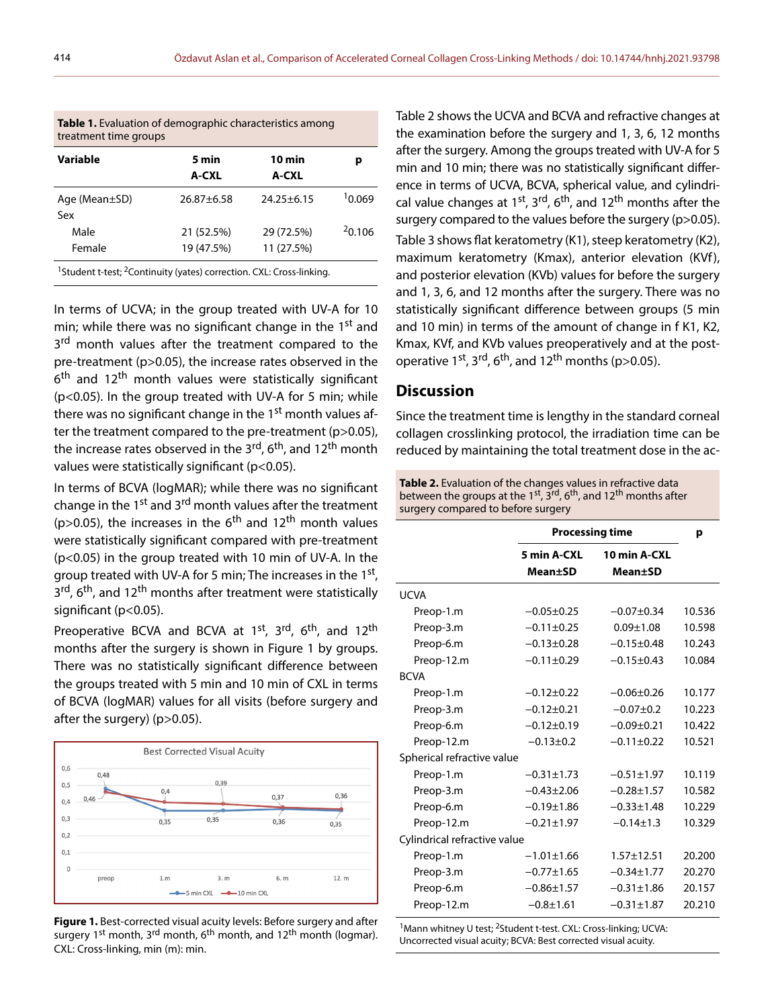| <b>Table 1.</b> Evaluation of demographic characteristics among<br>treatment time groups     |                          |                          |        |  |  |
|----------------------------------------------------------------------------------------------|--------------------------|--------------------------|--------|--|--|
| Variable                                                                                     | 5 min<br>A-CXL           | 10 min<br>A-CXL          | р      |  |  |
| Age ( $Mean \pm SD$ )<br>Sex                                                                 | $26.87 \pm 6.58$         | $24.25 \pm 6.15$         | 10.069 |  |  |
| Male<br>Female                                                                               | 21 (52.5%)<br>19 (47.5%) | 29 (72.5%)<br>11 (27.5%) | 20.106 |  |  |
| <sup>1</sup> Student t-test; <sup>2</sup> Continuity (yates) correction. CXL: Cross-linking. |                          |                          |        |  |  |

**Table 1.** Evaluation of demographic characteristics among

In terms of UCVA; in the group treated with UV-A for 10 min; while there was no significant change in the  $1<sup>st</sup>$  and 3<sup>rd</sup> month values after the treatment compared to the pre-treatment (p>0.05), the increase rates observed in the 6<sup>th</sup> and 12<sup>th</sup> month values were statistically significant (p<0.05). In the group treated with UV-A for 5 min; while there was no significant change in the 1<sup>st</sup> month values after the treatment compared to the pre-treatment (p>0.05), the increase rates observed in the 3<sup>rd</sup>, 6<sup>th</sup>, and 12<sup>th</sup> month values were statistically significant (p<0.05).

In terms of BCVA (logMAR); while there was no significant change in the 1<sup>st</sup> and 3<sup>rd</sup> month values after the treatment (p>0.05), the increases in the  $6<sup>th</sup>$  and 12<sup>th</sup> month values were statistically significant compared with pre-treatment (p<0.05) in the group treated with 10 min of UV-A. In the group treated with UV-A for 5 min; The increases in the  $1<sup>st</sup>$ , 3<sup>rd</sup>, 6<sup>th</sup>, and 12<sup>th</sup> months after treatment were statistically significant (p<0.05).

Preoperative BCVA and BCVA at 1<sup>st</sup>, 3<sup>rd</sup>, 6<sup>th</sup>, and 12<sup>th</sup> months after the surgery is shown in Figure 1 by groups. There was no statistically significant difference between the groups treated with 5 min and 10 min of CXL in terms of BCVA (logMAR) values for all visits (before surgery and after the surgery) (p>0.05).



**Figure 1.** Best-corrected visual acuity levels: Before surgery and after surgery 1<sup>st</sup> month, 3<sup>rd</sup> month, 6<sup>th</sup> month, and 12<sup>th</sup> month (logmar). CXL: Cross-linking, min (m): min.

Table 2 shows the UCVA and BCVA and refractive changes at the examination before the surgery and 1, 3, 6, 12 months after the surgery. Among the groups treated with UV-A for 5 min and 10 min; there was no statistically significant difference in terms of UCVA, BCVA, spherical value, and cylindrical value changes at  $1^{st}$ ,  $3^{rd}$ ,  $6^{th}$ , and  $12^{th}$  months after the surgery compared to the values before the surgery (p>0.05). Table 3 shows flat keratometry (K1), steep keratometry (K2),

maximum keratometry (Kmax), anterior elevation (KVf), and posterior elevation (KVb) values for before the surgery and 1, 3, 6, and 12 months after the surgery. There was no statistically significant difference between groups (5 min and 10 min) in terms of the amount of change in f K1, K2, Kmax, KVf, and KVb values preoperatively and at the postoperative 1<sup>st</sup>, 3<sup>rd</sup>, 6<sup>th</sup>, and 12<sup>th</sup> months (p>0.05).

### **Discussion**

Since the treatment time is lengthy in the standard corneal collagen crosslinking protocol, the irradiation time can be reduced by maintaining the total treatment dose in the ac-

| Table 2. Evaluation of the changes values in refractive data                                               |
|------------------------------------------------------------------------------------------------------------|
| between the groups at the 1 <sup>st</sup> , $3^{rd}$ , 6 <sup>th</sup> , and 12 <sup>th</sup> months after |
| surgery compared to before surgery                                                                         |

|                              |                  | <b>Processing time</b> |        |
|------------------------------|------------------|------------------------|--------|
|                              | 5 min A-CXL      | 10 min A-CXL           |        |
|                              | Mean+SD          | Mean±SD                |        |
| <b>UCVA</b>                  |                  |                        |        |
| Preop-1.m                    | $-0.05 \pm 0.25$ | $-0.07 + 0.34$         | 10.536 |
| Preop-3.m                    | $-0.11 \pm 0.25$ | $0.09 + 1.08$          | 10.598 |
| Preop-6.m                    | $-0.13 \pm 0.28$ | $-0.15 \pm 0.48$       | 10.243 |
| Preop-12.m                   | $-0.11 \pm 0.29$ | $-0.15 \pm 0.43$       | 10.084 |
| <b>BCVA</b>                  |                  |                        |        |
| Preop-1.m                    | $-0.12 \pm 0.22$ | $-0.06 \pm 0.26$       | 10.177 |
| Preop-3.m                    | $-0.12 \pm 0.21$ | $-0.07+0.2$            | 10.223 |
| Preop-6.m                    | $-0.12+0.19$     | $-0.09 + 0.21$         | 10.422 |
| Preop-12.m                   | $-0.13 \pm 0.2$  | $-0.11 \pm 0.22$       | 10.521 |
| Spherical refractive value   |                  |                        |        |
| Preop-1.m                    | $-0.31 \pm 1.73$ | $-0.51 \pm 1.97$       | 10.119 |
| Preop-3.m                    | $-0.43 \pm 2.06$ | $-0.28 \pm 1.57$       | 10.582 |
| Preop-6.m                    | $-0.19 \pm 1.86$ | $-0.33 \pm 1.48$       | 10.229 |
| Preop-12.m                   | $-0.21 \pm 1.97$ | $-0.14 \pm 1.3$        | 10.329 |
| Cylindrical refractive value |                  |                        |        |
| Preop-1.m                    | $-1.01 \pm 1.66$ | $1.57 + 12.51$         | 20.200 |
| Preop-3.m                    | $-0.77 \pm 1.65$ | $-0.34 \pm 1.77$       | 20.270 |
| Preop-6.m                    | $-0.86 \pm 1.57$ | $-0.31 \pm 1.86$       | 20.157 |
| Preop-12.m                   | $-0.8 + 1.61$    | $-0.31 \pm 1.87$       | 20.210 |
|                              |                  |                        |        |

<sup>1</sup>Mann whitney U test; <sup>2</sup>Student t-test. CXL: Cross-linking; UCVA: Uncorrected visual acuity; BCVA: Best corrected visual acuity.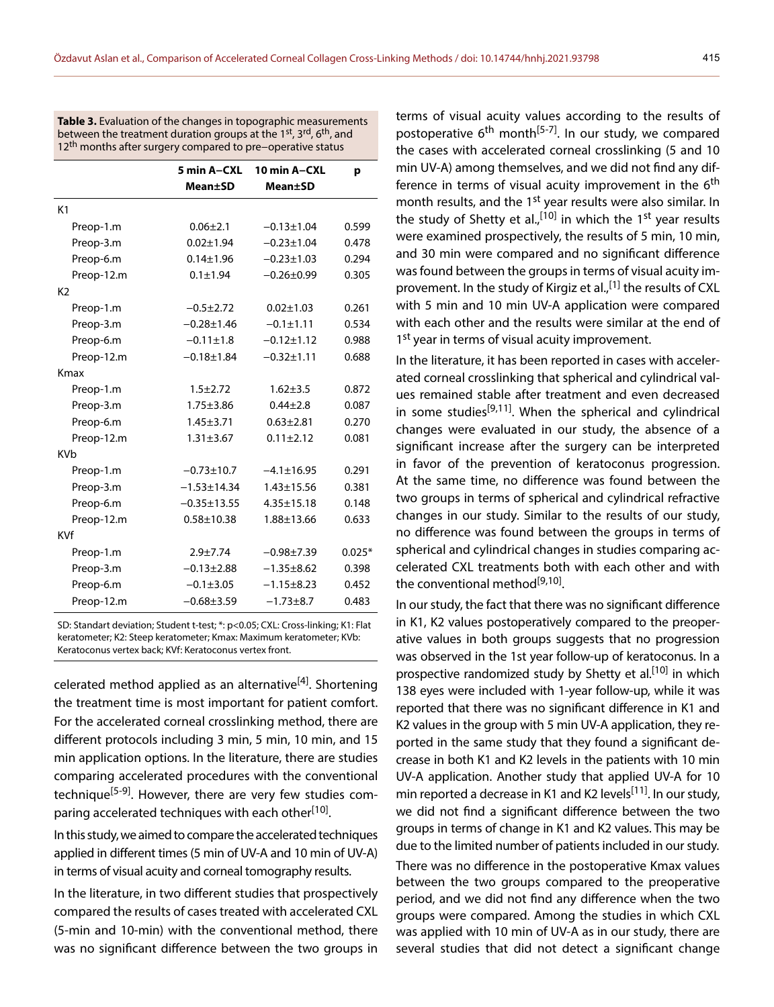**Table 3.** Evaluation of the changes in topographic measurements between the treatment duration groups at the 1<sup>st</sup>, 3<sup>rd</sup>, 6<sup>th</sup>, and 12<sup>th</sup> months after surgery compared to pre–operative status

|                | 5 min A-CXL<br><b>Mean±SD</b> | 10 min A-CXL<br><b>Mean±SD</b> | р        |
|----------------|-------------------------------|--------------------------------|----------|
|                |                               |                                |          |
| K <sub>1</sub> |                               |                                |          |
| Preop-1.m      | $0.06 + 2.1$                  | $-0.13 \pm 1.04$               | 0.599    |
| Preop-3.m      | $0.02 \pm 1.94$               | $-0.23 \pm 1.04$               | 0.478    |
| Preop-6.m      | $0.14 \pm 1.96$               | $-0.23 \pm 1.03$               | 0.294    |
| Preop-12.m     | $0.1 \pm 1.94$                | $-0.26 + 0.99$                 | 0.305    |
| K <sub>2</sub> |                               |                                |          |
| Preop-1.m      | $-0.5 + 2.72$                 | $0.02 \pm 1.03$                | 0.261    |
| Preop-3.m      | $-0.28 \pm 1.46$              | $-0.1 \pm 1.11$                | 0.534    |
| Preop-6.m      | $-0.11 \pm 1.8$               | $-0.12 \pm 1.12$               | 0.988    |
| Preop-12.m     | $-0.18 + 1.84$                | $-0.32 \pm 1.11$               | 0.688    |
| Kmax           |                               |                                |          |
| Preop-1.m      | $1.5 + 2.72$                  | $1.62 + 3.5$                   | 0.872    |
| Preop-3.m      | $1.75 + 3.86$                 | $0.44 \pm 2.8$                 | 0.087    |
| Preop-6.m      | $1.45 \pm 3.71$               | $0.63 \pm 2.81$                | 0.270    |
| Preop-12.m     | $1.31 \pm 3.67$               | $0.11 \pm 2.12$                | 0.081    |
| KVb            |                               |                                |          |
| Preop-1.m      | $-0.73 \pm 10.7$              | $-4.1 \pm 16.95$               | 0.291    |
| Preop-3.m      | $-1.53 \pm 14.34$             | $1.43 \pm 15.56$               | 0.381    |
| Preop-6.m      | $-0.35 \pm 13.55$             | $4.35 \pm 15.18$               | 0.148    |
| Preop-12.m     | $0.58 + 10.38$                | 1.88±13.66                     | 0.633    |
| KVf            |                               |                                |          |
| Preop-1.m      | $2.9 + 7.74$                  | $-0.98 + 7.39$                 | $0.025*$ |
| Preop-3.m      | $-0.13 \pm 2.88$              | $-1.35 + 8.62$                 | 0.398    |
| Preop-6.m      | $-0.1 \pm 3.05$               | $-1.15 \pm 8.23$               | 0.452    |
| Preop-12.m     | $-0.68 + 3.59$                | $-1.73 + 8.7$                  | 0.483    |

SD: Standart deviation; Student t-test; \*: p<0.05; CXL: Cross-linking; K1: Flat keratometer; K2: Steep keratometer; Kmax: Maximum keratometer; KVb: Keratoconus vertex back; KVf: Keratoconus vertex front.

celerated method applied as an alternative<sup>[4]</sup>. Shortening the treatment time is most important for patient comfort. For the accelerated corneal crosslinking method, there are different protocols including 3 min, 5 min, 10 min, and 15 min application options. In the literature, there are studies comparing accelerated procedures with the conventional technique<sup>[5-9]</sup>. However, there are very few studies comparing accelerated techniques with each other<sup>[10]</sup>.

In this study, we aimed to compare the accelerated techniques applied in different times (5 min of UV-A and 10 min of UV-A) in terms of visual acuity and corneal tomography results.

In the literature, in two different studies that prospectively compared the results of cases treated with accelerated CXL (5-min and 10-min) with the conventional method, there was no significant difference between the two groups in

terms of visual acuity values according to the results of postoperative  $6<sup>th</sup>$  month<sup>[5-7]</sup>. In our study, we compared the cases with accelerated corneal crosslinking (5 and 10 min UV-A) among themselves, and we did not find any difference in terms of visual acuity improvement in the  $6<sup>th</sup>$ month results, and the 1<sup>st</sup> year results were also similar. In the study of Shetty et al.,  $[10]$  in which the 1<sup>st</sup> year results were examined prospectively, the results of 5 min, 10 min, and 30 min were compared and no significant difference was found between the groups in terms of visual acuity improvement. In the study of Kirgiz et al.,<sup>[1]</sup> the results of CXL with 5 min and 10 min UV-A application were compared with each other and the results were similar at the end of 1<sup>st</sup> year in terms of visual acuity improvement.

In the literature, it has been reported in cases with accelerated corneal crosslinking that spherical and cylindrical values remained stable after treatment and even decreased in some studies<sup>[9,11]</sup>. When the spherical and cylindrical changes were evaluated in our study, the absence of a significant increase after the surgery can be interpreted in favor of the prevention of keratoconus progression. At the same time, no difference was found between the two groups in terms of spherical and cylindrical refractive changes in our study. Similar to the results of our study, no difference was found between the groups in terms of spherical and cylindrical changes in studies comparing accelerated CXL treatments both with each other and with the conventional method<sup>[9,10]</sup>.

In our study, the fact that there was no significant difference in K1, K2 values postoperatively compared to the preoperative values in both groups suggests that no progression was observed in the 1st year follow-up of keratoconus. In a prospective randomized study by Shetty et al.<sup>[10]</sup> in which 138 eyes were included with 1-year follow-up, while it was reported that there was no significant difference in K1 and K2 values in the group with 5 min UV-A application, they reported in the same study that they found a significant decrease in both K1 and K2 levels in the patients with 10 min UV-A application. Another study that applied UV-A for 10 min reported a decrease in K1 and K2 levels<sup>[11]</sup>. In our study, we did not find a significant difference between the two groups in terms of change in K1 and K2 values. This may be due to the limited number of patients included in our study.

There was no difference in the postoperative Kmax values between the two groups compared to the preoperative period, and we did not find any difference when the two groups were compared. Among the studies in which CXL was applied with 10 min of UV-A as in our study, there are several studies that did not detect a significant change